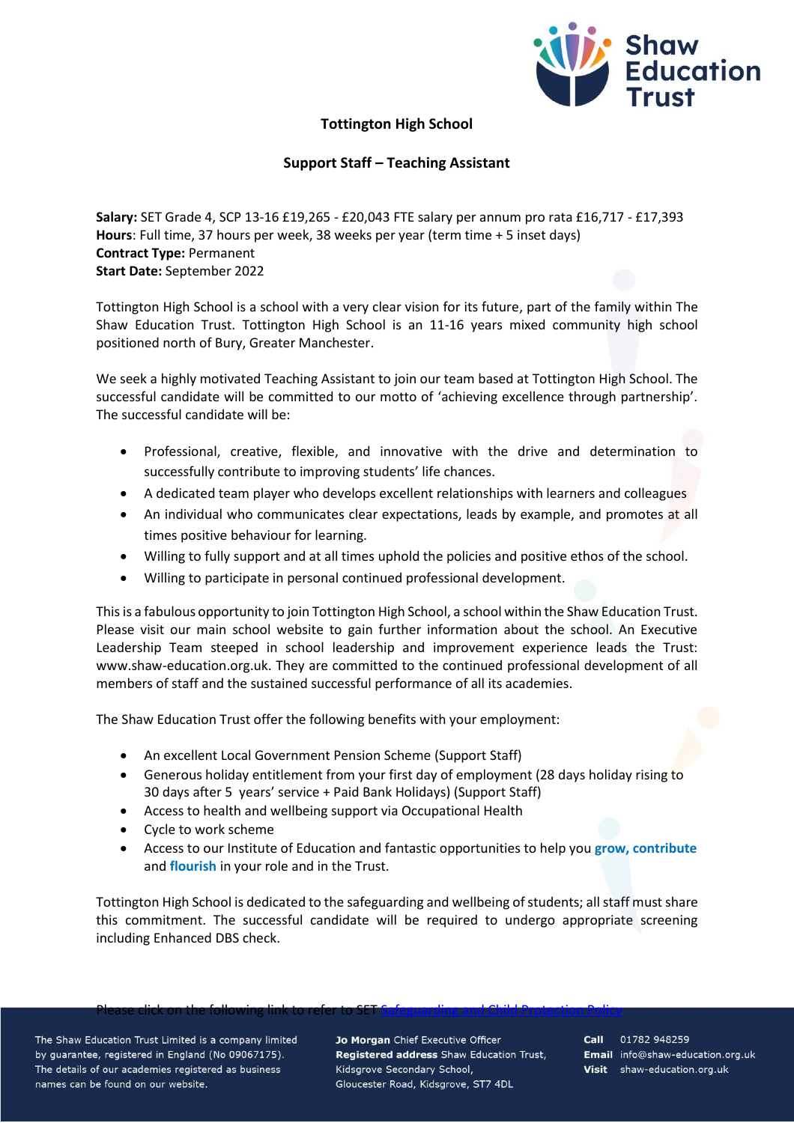

## **Tottington High School**

## **Support Staff – Teaching Assistant**

**Salary:** SET Grade 4, SCP 13-16 £19,265 - £20,043 FTE salary per annum pro rata £16,717 - £17,393 **Hours**: Full time, 37 hours per week, 38 weeks per year (term time + 5 inset days) **Contract Type:** Permanent **Start Date:** September 2022

Tottington High School is a school with a very clear vision for its future, part of the family within The Shaw Education Trust. Tottington High School is an 11-16 years mixed community high school positioned north of Bury, Greater Manchester.

We seek a highly motivated Teaching Assistant to join our team based at Tottington High School. The successful candidate will be committed to our motto of 'achieving excellence through partnership'. The successful candidate will be:

- Professional, creative, flexible, and innovative with the drive and determination to successfully contribute to improving students' life chances.
- A dedicated team player who develops excellent relationships with learners and colleagues
- An individual who communicates clear expectations, leads by example, and promotes at all times positive behaviour for learning.
- Willing to fully support and at all times uphold the policies and positive ethos of the school.
- Willing to participate in personal continued professional development.

This is a fabulous opportunity to join Tottington High School, a school within the Shaw Education Trust. Please visit our main school website to gain further information about the school. An Executive Leadership Team steeped in school leadership and improvement experience leads the Trust: www.shaw-education.org.uk. They are committed to the continued professional development of all members of staff and the sustained successful performance of all its academies.

The Shaw Education Trust offer the following benefits with your employment:

- An excellent Local Government Pension Scheme (Support Staff)
- Generous holiday entitlement from your first day of employment (28 days holiday rising to 30 days after 5 years' service + Paid Bank Holidays) (Support Staff)
- Access to health and wellbeing support via Occupational Health
- Cycle to work scheme
- Access to our Institute of Education and fantastic opportunities to help you **grow, contribute** and **flourish** in your role and in the Trust.

Tottington High School is dedicated to the safeguarding and wellbeing of students; all staff must share this commitment. The successful candidate will be required to undergo appropriate screening including Enhanced DBS check.

## Please click on the following link to refer to SET <u>Safeguarding and Child Protection Policy</u>

The Shaw Education Trust Limited is a company limited by guarantee, registered in England (No 09067175). The details of our academies registered as business names can be found on our website.

Jo Morgan Chief Executive Officer Registered address Shaw Education Trust, Kidsgrove Secondary School, Gloucester Road, Kidsgrove, ST7 4DL

Call 01782 948259 Email info@shaw-education.org.uk Visit shaw-education.org.uk